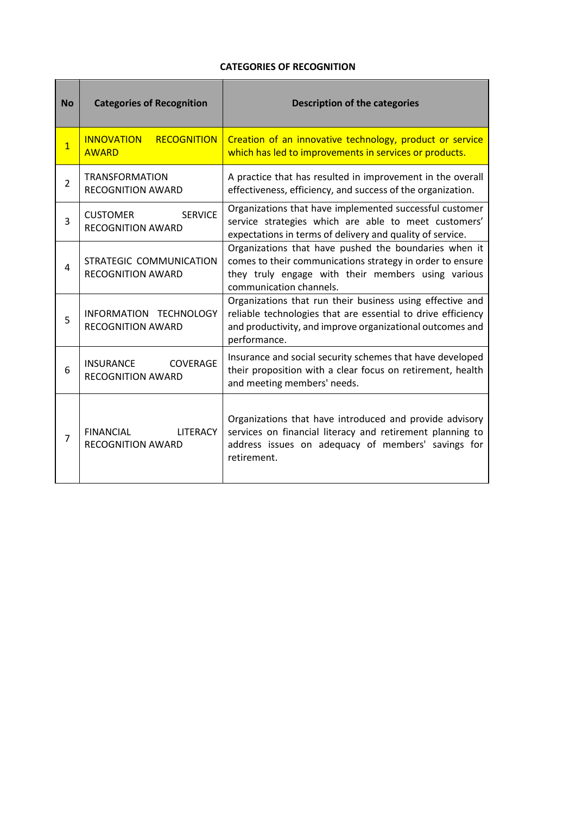## **CATEGORIES OF RECOGNITION**

| <b>No</b>      | <b>Categories of Recognition</b>                                | <b>Description of the categories</b>                                                                                                                                                                   |
|----------------|-----------------------------------------------------------------|--------------------------------------------------------------------------------------------------------------------------------------------------------------------------------------------------------|
| $\overline{1}$ | <b>RECOGNITION</b><br><b>INNOVATION</b><br><b>AWARD</b>         | Creation of an innovative technology, product or service<br>which has led to improvements in services or products.                                                                                     |
| $\overline{2}$ | <b>TRANSFORMATION</b><br><b>RECOGNITION AWARD</b>               | A practice that has resulted in improvement in the overall<br>effectiveness, efficiency, and success of the organization.                                                                              |
| 3              | <b>CUSTOMER</b><br><b>SFRVICE</b><br><b>RECOGNITION AWARD</b>   | Organizations that have implemented successful customer<br>service strategies which are able to meet customers'<br>expectations in terms of delivery and quality of service.                           |
| 4              | STRATEGIC COMMUNICATION<br><b>RECOGNITION AWARD</b>             | Organizations that have pushed the boundaries when it<br>comes to their communications strategy in order to ensure<br>they truly engage with their members using various<br>communication channels.    |
| 5              | INFORMATION TECHNOLOGY<br><b>RECOGNITION AWARD</b>              | Organizations that run their business using effective and<br>reliable technologies that are essential to drive efficiency<br>and productivity, and improve organizational outcomes and<br>performance. |
| 6              | <b>COVERAGE</b><br>INSURANCE<br><b>RECOGNITION AWARD</b>        | Insurance and social security schemes that have developed<br>their proposition with a clear focus on retirement, health<br>and meeting members' needs.                                                 |
| 7              | <b>FINANCIAL</b><br><b>LITERACY</b><br><b>RECOGNITION AWARD</b> | Organizations that have introduced and provide advisory<br>services on financial literacy and retirement planning to<br>address issues on adequacy of members' savings for<br>retirement.              |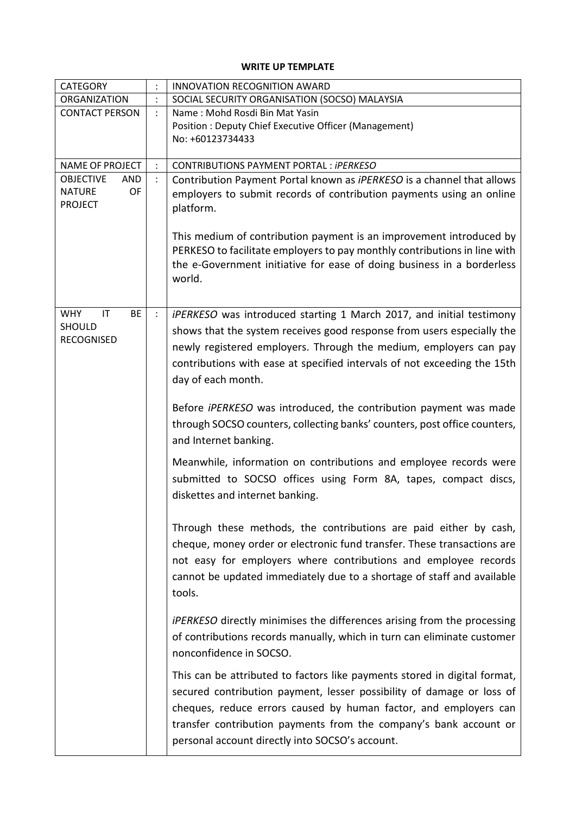## **WRITE UP TEMPLATE**

| <b>CATEGORY</b>                                                         |                | <b>INNOVATION RECOGNITION AWARD</b>                                                                                                                                                                                                                                                                                                            |  |  |
|-------------------------------------------------------------------------|----------------|------------------------------------------------------------------------------------------------------------------------------------------------------------------------------------------------------------------------------------------------------------------------------------------------------------------------------------------------|--|--|
| ORGANIZATION                                                            | $\ddot{\cdot}$ | SOCIAL SECURITY ORGANISATION (SOCSO) MALAYSIA                                                                                                                                                                                                                                                                                                  |  |  |
| <b>CONTACT PERSON</b>                                                   |                | Name: Mohd Rosdi Bin Mat Yasin<br><b>Position: Deputy Chief Executive Officer (Management)</b><br>No: +60123734433                                                                                                                                                                                                                             |  |  |
| <b>NAME OF PROJECT</b>                                                  | $\ddot{\cdot}$ | CONTRIBUTIONS PAYMENT PORTAL : iPERKESO                                                                                                                                                                                                                                                                                                        |  |  |
| <b>OBJECTIVE</b><br><b>AND</b><br><b>NATURE</b><br>OF<br><b>PROJECT</b> |                | Contribution Payment Portal known as iPERKESO is a channel that allows<br>employers to submit records of contribution payments using an online<br>platform.                                                                                                                                                                                    |  |  |
|                                                                         |                | This medium of contribution payment is an improvement introduced by<br>PERKESO to facilitate employers to pay monthly contributions in line with<br>the e-Government initiative for ease of doing business in a borderless<br>world.                                                                                                           |  |  |
| <b>WHY</b><br>IT<br><b>BE</b><br><b>SHOULD</b><br><b>RECOGNISED</b>     | $\ddot{\cdot}$ | iPERKESO was introduced starting 1 March 2017, and initial testimony<br>shows that the system receives good response from users especially the<br>newly registered employers. Through the medium, employers can pay<br>contributions with ease at specified intervals of not exceeding the 15th<br>day of each month.                          |  |  |
|                                                                         |                | Before <i>iPERKESO</i> was introduced, the contribution payment was made<br>through SOCSO counters, collecting banks' counters, post office counters,<br>and Internet banking.                                                                                                                                                                 |  |  |
|                                                                         |                | Meanwhile, information on contributions and employee records were<br>submitted to SOCSO offices using Form 8A, tapes, compact discs,<br>diskettes and internet banking.                                                                                                                                                                        |  |  |
|                                                                         |                | Through these methods, the contributions are paid either by cash,<br>cheque, money order or electronic fund transfer. These transactions are<br>not easy for employers where contributions and employee records<br>cannot be updated immediately due to a shortage of staff and available<br>tools.                                            |  |  |
|                                                                         |                | <i>iPERKESO</i> directly minimises the differences arising from the processing<br>of contributions records manually, which in turn can eliminate customer<br>nonconfidence in SOCSO.                                                                                                                                                           |  |  |
|                                                                         |                | This can be attributed to factors like payments stored in digital format,<br>secured contribution payment, lesser possibility of damage or loss of<br>cheques, reduce errors caused by human factor, and employers can<br>transfer contribution payments from the company's bank account or<br>personal account directly into SOCSO's account. |  |  |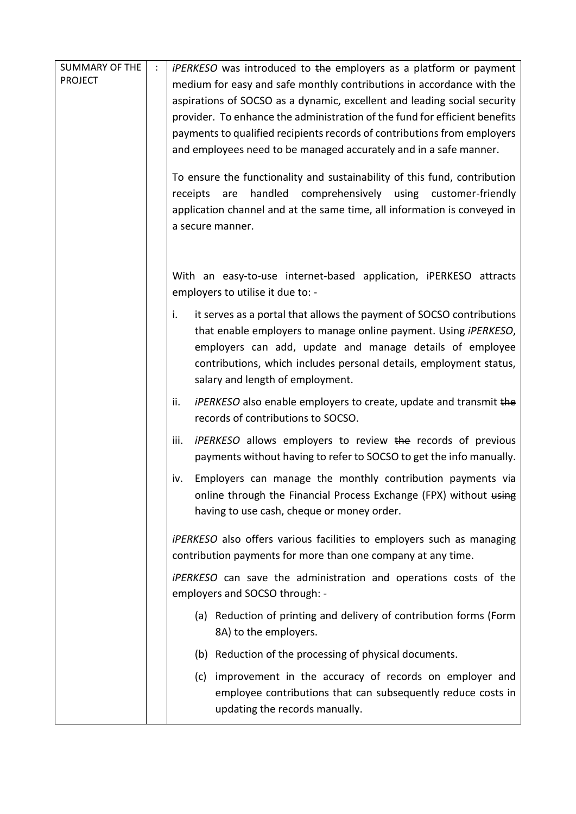| <b>SUMMARY OF THE</b> | $\ddot{\cdot}$                                                        | <i>iPERKESO</i> was introduced to the employers as a platform or payment                               |  |  |
|-----------------------|-----------------------------------------------------------------------|--------------------------------------------------------------------------------------------------------|--|--|
| <b>PROJECT</b>        |                                                                       | medium for easy and safe monthly contributions in accordance with the                                  |  |  |
|                       |                                                                       | aspirations of SOCSO as a dynamic, excellent and leading social security                               |  |  |
|                       |                                                                       | provider. To enhance the administration of the fund for efficient benefits                             |  |  |
|                       |                                                                       | payments to qualified recipients records of contributions from employers                               |  |  |
|                       |                                                                       | and employees need to be managed accurately and in a safe manner.                                      |  |  |
|                       |                                                                       |                                                                                                        |  |  |
|                       |                                                                       | To ensure the functionality and sustainability of this fund, contribution                              |  |  |
|                       |                                                                       | handled<br>comprehensively<br>are<br>using<br>customer-friendly<br>receipts                            |  |  |
|                       |                                                                       | application channel and at the same time, all information is conveyed in                               |  |  |
|                       |                                                                       | a secure manner.                                                                                       |  |  |
|                       |                                                                       |                                                                                                        |  |  |
|                       |                                                                       |                                                                                                        |  |  |
|                       |                                                                       | With an easy-to-use internet-based application, iPERKESO attracts<br>employers to utilise it due to: - |  |  |
|                       |                                                                       |                                                                                                        |  |  |
|                       |                                                                       | it serves as a portal that allows the payment of SOCSO contributions<br>i.                             |  |  |
|                       |                                                                       | that enable employers to manage online payment. Using iPERKESO,                                        |  |  |
|                       |                                                                       | employers can add, update and manage details of employee                                               |  |  |
|                       |                                                                       | contributions, which includes personal details, employment status,                                     |  |  |
|                       |                                                                       | salary and length of employment.                                                                       |  |  |
|                       |                                                                       | <i>iPERKESO</i> also enable employers to create, update and transmit the<br>ii.                        |  |  |
|                       |                                                                       | records of contributions to SOCSO.                                                                     |  |  |
|                       |                                                                       | <i>iPERKESO</i> allows employers to review the records of previous<br>iii.                             |  |  |
|                       |                                                                       | payments without having to refer to SOCSO to get the info manually.                                    |  |  |
|                       |                                                                       | Employers can manage the monthly contribution payments via<br>iv.                                      |  |  |
|                       |                                                                       | online through the Financial Process Exchange (FPX) without using                                      |  |  |
|                       |                                                                       | having to use cash, cheque or money order.                                                             |  |  |
|                       |                                                                       |                                                                                                        |  |  |
|                       | iPERKESO also offers various facilities to employers such as managing |                                                                                                        |  |  |
|                       |                                                                       | contribution payments for more than one company at any time.                                           |  |  |
|                       |                                                                       | iPERKESO can save the administration and operations costs of the                                       |  |  |
|                       |                                                                       | employers and SOCSO through: -                                                                         |  |  |
|                       |                                                                       | (a) Reduction of printing and delivery of contribution forms (Form                                     |  |  |
|                       |                                                                       | 8A) to the employers.                                                                                  |  |  |
|                       |                                                                       | (b) Reduction of the processing of physical documents.                                                 |  |  |
|                       |                                                                       | improvement in the accuracy of records on employer and<br>(c)                                          |  |  |
|                       |                                                                       | employee contributions that can subsequently reduce costs in                                           |  |  |
|                       |                                                                       | updating the records manually.                                                                         |  |  |
|                       |                                                                       |                                                                                                        |  |  |